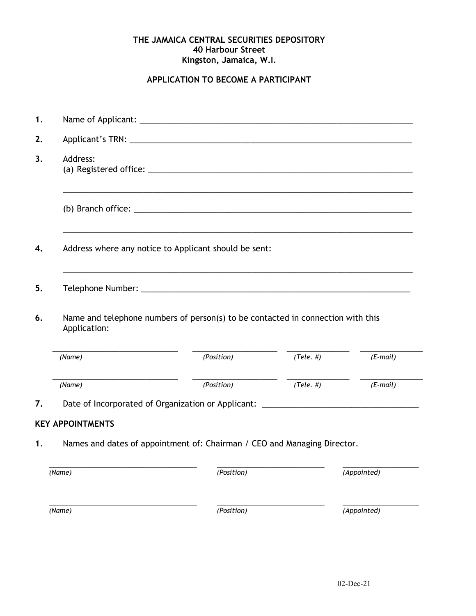### **THE JAMAICA CENTRAL SECURITIES DEPOSITORY 40 Harbour Street Kingston, Jamaica, W.I.**

# **APPLICATION TO BECOME A PARTICIPANT**

| Address:<br>3.                                                                                        |            |                |                                                                                                                                                                       |  |
|-------------------------------------------------------------------------------------------------------|------------|----------------|-----------------------------------------------------------------------------------------------------------------------------------------------------------------------|--|
|                                                                                                       |            |                |                                                                                                                                                                       |  |
| Address where any notice to Applicant should be sent:                                                 |            |                |                                                                                                                                                                       |  |
|                                                                                                       |            |                |                                                                                                                                                                       |  |
| Name and telephone numbers of person(s) to be contacted in connection with this<br>6.<br>Application: |            |                |                                                                                                                                                                       |  |
| (Name)                                                                                                | (Position) | $(Tele.$ # $)$ | $(E$ -mail)                                                                                                                                                           |  |
| (Name)                                                                                                | (Position) | $(Tele.$ # $)$ | $(E-mail)$                                                                                                                                                            |  |
|                                                                                                       |            |                |                                                                                                                                                                       |  |
| <b>KEY APPOINTMENTS</b>                                                                               |            |                |                                                                                                                                                                       |  |
| Names and dates of appointment of: Chairman / CEO and Managing Director.<br>1.                        |            |                |                                                                                                                                                                       |  |
| (Name)                                                                                                | (Position) |                | (Appointed)                                                                                                                                                           |  |
| (Name)                                                                                                | (Position) |                | (Appointed)                                                                                                                                                           |  |
|                                                                                                       |            |                | ,我们也不会有什么。""我们的人,我们也不会有什么?""我们的人,我们也不会有什么?""我们的人,我们也不会有什么?""我们的人,我们也不会有什么?""我们的人<br>Date of Incorporated of Organization or Applicant: ______________________________ |  |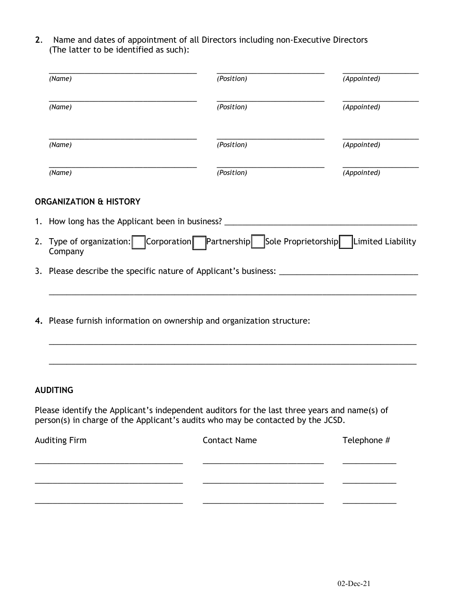**2**. Name and dates of appointment of all Directors including non-Executive Directors (The latter to be identified as such):

| (Name)                                                                                            | (Position) | (Appointed) |  |
|---------------------------------------------------------------------------------------------------|------------|-------------|--|
| (Name)                                                                                            | (Position) | (Appointed) |  |
| (Name)                                                                                            | (Position) | (Appointed) |  |
| (Name)                                                                                            | (Position) | (Appointed) |  |
| <b>ORGANIZATION &amp; HISTORY</b>                                                                 |            |             |  |
| 1. How long has the Applicant been in business? ________________________________                  |            |             |  |
| 2. Type of organization: Corporation Partnership Sole Proprietorship Limited Liability<br>Company |            |             |  |
|                                                                                                   |            |             |  |
|                                                                                                   |            |             |  |
| 4. Please furnish information on ownership and organization structure:                            |            |             |  |
|                                                                                                   |            |             |  |
| <b>AUDITING</b>                                                                                   |            |             |  |

Please identify the Applicant's independent auditors for the last three years and name(s) of person(s) in charge of the Applicant's audits who may be contacted by the JCSD.

| <b>Auditing Firm</b> | <b>Contact Name</b> | Telephone # |
|----------------------|---------------------|-------------|
|                      |                     |             |
|                      |                     |             |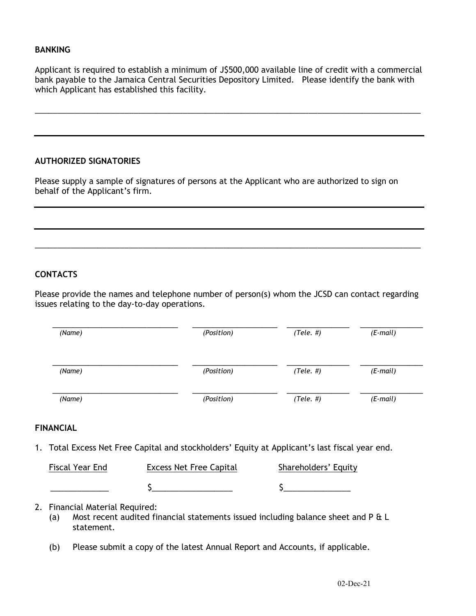### **BANKING**

Applicant is required to establish a minimum of J\$500,000 available line of credit with a commercial bank payable to the Jamaica Central Securities Depository Limited. Please identify the bank with which Applicant has established this facility.

\_\_\_\_\_\_\_\_\_\_\_\_\_\_\_\_\_\_\_\_\_\_\_\_\_\_\_\_\_\_\_\_\_\_\_\_\_\_\_\_\_\_\_\_\_\_\_\_\_\_\_\_\_\_\_\_\_\_\_\_\_\_\_\_\_\_\_\_\_\_\_\_\_\_\_\_\_\_\_\_\_\_\_\_\_\_

### **AUTHORIZED SIGNATORIES**

Please supply a sample of signatures of persons at the Applicant who are authorized to sign on behalf of the Applicant's firm.

# **CONTACTS**

Please provide the names and telephone number of person(s) whom the JCSD can contact regarding issues relating to the day-to-day operations.

\_\_\_\_\_\_\_\_\_\_\_\_\_\_\_\_\_\_\_\_\_\_\_\_\_\_\_\_\_\_\_\_\_\_\_\_\_\_\_\_\_\_\_\_\_\_\_\_\_\_\_\_\_\_\_\_\_\_\_\_\_\_\_\_\_\_\_\_\_\_\_\_\_\_\_\_\_\_\_\_\_\_\_\_\_\_

| (Name) | (Position) | $(Tele. \#)$ | $(E$ -mail) |
|--------|------------|--------------|-------------|
| (Name) | (Position) | $(Tele. \#)$ | $(E$ -mail) |
| (Name) | (Position) | $(Tele. \#)$ | $(E$ -mail) |

# **FINANCIAL**

1. Total Excess Net Free Capital and stockholders' Equity at Applicant's last fiscal year end.

| Fiscal Year End | <b>Excess Net Free Capital</b> | Shareholders' Equity |
|-----------------|--------------------------------|----------------------|
|                 |                                |                      |

## 2. Financial Material Required:

- (a) Most recent audited financial statements issued including balance sheet and P & L statement.
- (b) Please submit a copy of the latest Annual Report and Accounts, if applicable.